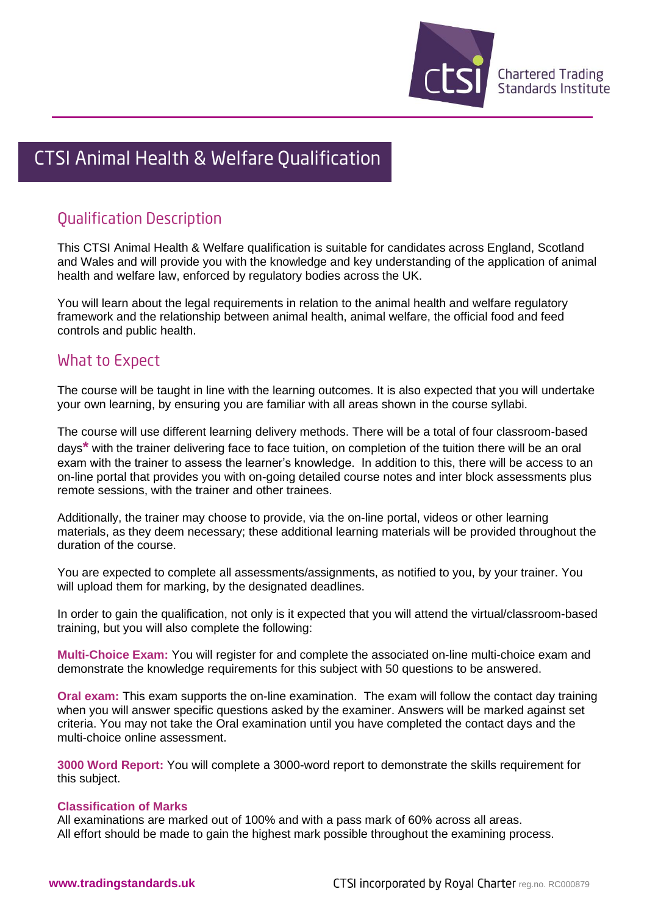

# CTSI Animal Health & Welfare Qualification

## **Qualification Description**

This CTSI Animal Health & Welfare qualification is suitable for candidates across England, Scotland and Wales and will provide you with the knowledge and key understanding of the application of animal health and welfare law, enforced by regulatory bodies across the UK.

You will learn about the legal requirements in relation to the animal health and welfare regulatory framework and the relationship between animal health, animal welfare, the official food and feed controls and public health.

### What to Expect

The course will be taught in line with the learning outcomes. It is also expected that you will undertake your own learning, by ensuring you are familiar with all areas shown in the course syllabi.

The course will use different learning delivery methods. There will be a total of four classroom-based days**\*** with the trainer delivering face to face tuition, on completion of the tuition there will be an oral exam with the trainer to assess the learner's knowledge. In addition to this, there will be access to an on-line portal that provides you with on-going detailed course notes and inter block assessments plus remote sessions, with the trainer and other trainees.

Additionally, the trainer may choose to provide, via the on-line portal, videos or other learning materials, as they deem necessary; these additional learning materials will be provided throughout the duration of the course.

You are expected to complete all assessments/assignments, as notified to you, by your trainer. You will upload them for marking, by the designated deadlines.

In order to gain the qualification, not only is it expected that you will attend the virtual/classroom-based training, but you will also complete the following:

**Multi-Choice Exam:** You will register for and complete the associated on-line multi-choice exam and demonstrate the knowledge requirements for this subject with 50 questions to be answered.

**Oral exam:** This exam supports the on-line examination. The exam will follow the contact day training when you will answer specific questions asked by the examiner. Answers will be marked against set criteria. You may not take the Oral examination until you have completed the contact days and the multi-choice online assessment.

**3000 Word Report:** You will complete a 3000-word report to demonstrate the skills requirement for this subject.

#### **Classification of Marks**

All examinations are marked out of 100% and with a pass mark of 60% across all areas. All effort should be made to gain the highest mark possible throughout the examining process.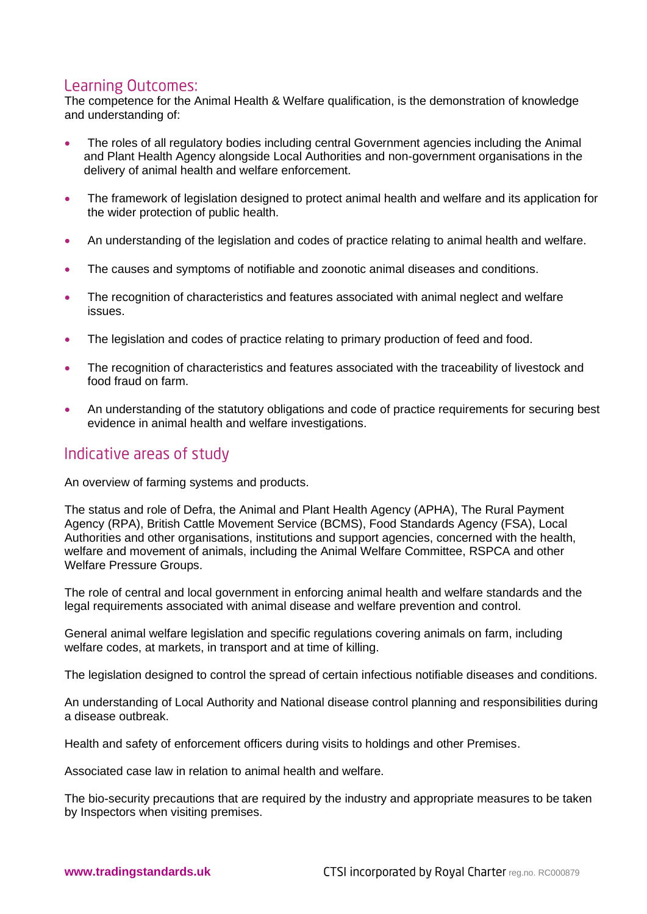#### Learning Outcomes:

The competence for the Animal Health & Welfare qualification, is the demonstration of knowledge and understanding of:

- The roles of all regulatory bodies including central Government agencies including the Animal and Plant Health Agency alongside Local Authorities and non-government organisations in the delivery of animal health and welfare enforcement.
- The framework of legislation designed to protect animal health and welfare and its application for the wider protection of public health.
- An understanding of the legislation and codes of practice relating to animal health and welfare.
- The causes and symptoms of notifiable and zoonotic animal diseases and conditions.
- The recognition of characteristics and features associated with animal neglect and welfare issues.
- The legislation and codes of practice relating to primary production of feed and food.
- The recognition of characteristics and features associated with the traceability of livestock and food fraud on farm.
- An understanding of the statutory obligations and code of practice requirements for securing best evidence in animal health and welfare investigations.

### Indicative areas of study

An overview of farming systems and products.

The status and role of Defra, the Animal and Plant Health Agency (APHA), The Rural Payment Agency (RPA), British Cattle Movement Service (BCMS), Food Standards Agency (FSA), Local Authorities and other organisations, institutions and support agencies, concerned with the health, welfare and movement of animals, including the Animal Welfare Committee, RSPCA and other Welfare Pressure Groups.

The role of central and local government in enforcing animal health and welfare standards and the legal requirements associated with animal disease and welfare prevention and control.

General animal welfare legislation and specific regulations covering animals on farm, including welfare codes, at markets, in transport and at time of killing.

The legislation designed to control the spread of certain infectious notifiable diseases and conditions.

An understanding of Local Authority and National disease control planning and responsibilities during a disease outbreak.

Health and safety of enforcement officers during visits to holdings and other Premises.

Associated case law in relation to animal health and welfare.

The bio-security precautions that are required by the industry and appropriate measures to be taken by Inspectors when visiting premises.